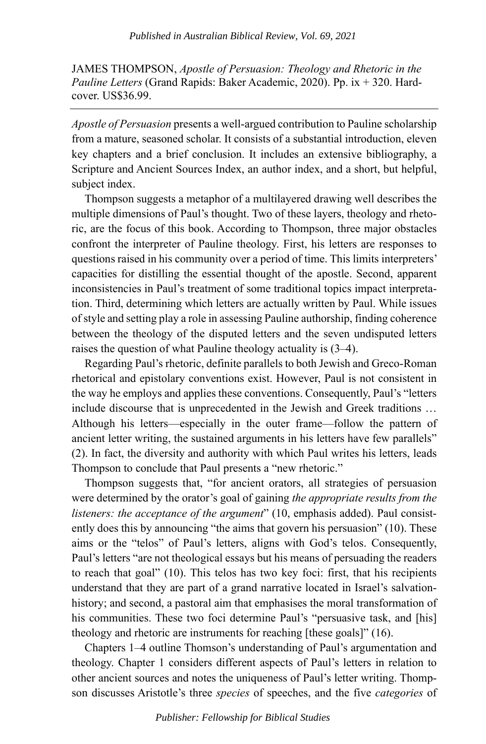JAMES THOMPSON, *Apostle of Persuasion: Theology and Rhetoric in the Pauline Letters* (Grand Rapids: Baker Academic, 2020). Pp. ix + 320. Hardcover. US\$36.99.

*Apostle of Persuasion* presents a well-argued contribution to Pauline scholarship from a mature, seasoned scholar. It consists of a substantial introduction, eleven key chapters and a brief conclusion. It includes an extensive bibliography, a Scripture and Ancient Sources Index, an author index, and a short, but helpful, subject index.

Thompson suggests a metaphor of a multilayered drawing well describes the multiple dimensions of Paul's thought. Two of these layers, theology and rhetoric, are the focus of this book. According to Thompson, three major obstacles confront the interpreter of Pauline theology. First, his letters are responses to questions raised in his community over a period of time. This limits interpreters' capacities for distilling the essential thought of the apostle. Second, apparent inconsistencies in Paul's treatment of some traditional topics impact interpretation. Third, determining which letters are actually written by Paul. While issues of style and setting play a role in assessing Pauline authorship, finding coherence between the theology of the disputed letters and the seven undisputed letters raises the question of what Pauline theology actuality is (3–4).

Regarding Paul's rhetoric, definite parallels to both Jewish and Greco-Roman rhetorical and epistolary conventions exist. However, Paul is not consistent in the way he employs and applies these conventions. Consequently, Paul's "letters include discourse that is unprecedented in the Jewish and Greek traditions … Although his letters—especially in the outer frame—follow the pattern of ancient letter writing, the sustained arguments in his letters have few parallels" (2). In fact, the diversity and authority with which Paul writes his letters, leads Thompson to conclude that Paul presents a "new rhetoric."

Thompson suggests that, "for ancient orators, all strategies of persuasion were determined by the orator's goal of gaining *the appropriate results from the listeners: the acceptance of the argument*" (10, emphasis added). Paul consistently does this by announcing "the aims that govern his persuasion" (10). These aims or the "telos" of Paul's letters, aligns with God's telos. Consequently, Paul's letters "are not theological essays but his means of persuading the readers to reach that goal" (10). This telos has two key foci: first, that his recipients understand that they are part of a grand narrative located in Israel's salvationhistory; and second, a pastoral aim that emphasises the moral transformation of his communities. These two foci determine Paul's "persuasive task, and [his] theology and rhetoric are instruments for reaching [these goals]" (16).

Chapters 1–4 outline Thomson's understanding of Paul's argumentation and theology. Chapter 1 considers different aspects of Paul's letters in relation to other ancient sources and notes the uniqueness of Paul's letter writing. Thompson discusses Aristotle's three *species* of speeches, and the five *categories* of